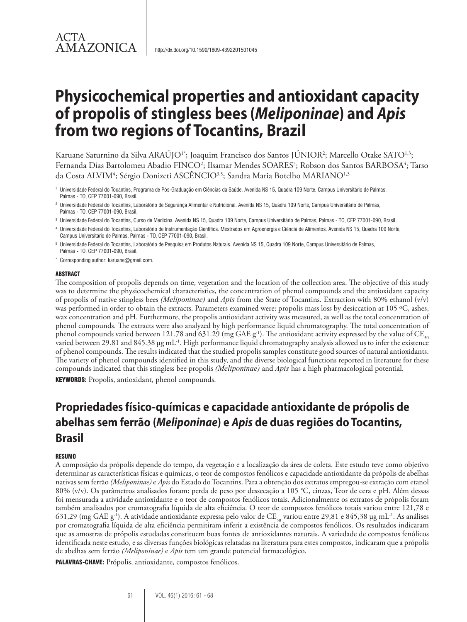## ACTA **AMAZONICA**

# **Physicochemical properties and antioxidant capacity of propolis of stingless bees (***Meliponinae***) and** *Apis* **from two regions of Tocantins, Brazil**

Karuane Saturnino da Silva ARAŬJO<sup>1\*</sup>; Joaquim Francisco dos Santos JŬNIOR<sup>2</sup>; Marcello Otake SATO<sup>1,3</sup>; Fernanda Dias Bartolomeu Abadio FINCO<sup>2</sup>; Ilsamar Mendes SOARES<sup>5</sup>; Robson dos Santos BARBOSA<sup>4</sup>; Tarso da Costa ALVIM<sup>4</sup>; Sérgio Donizeti ASCËNCIO<sup>3,5</sup>; Sandra Maria Botelho MARIANO<sup>1,3</sup>

- <sup>1</sup> Universidade Federal do Tocantins, Programa de Pós-Graduação em Ciências da Saúde. Avenida NS 15, Quadra 109 Norte, Campus Universitário de Palmas, Palmas - TO, CEP 77001-090, Brasil.
- <sup>2</sup> Universidade Federal do Tocantins, Laboratório de Segurança Alimentar e Nutricional. Avenida NS 15, Quadra 109 Norte, Campus Universitário de Palmas, Palmas - TO, CEP 77001-090, Brasil.
- <sup>3</sup> Universidade Federal do Tocantins, Curso de Medicina. Avenida NS 15, Quadra 109 Norte, Campus Universitário de Palmas, Palmas TO, CEP 77001-090, Brasil.
- <sup>4</sup> Universidade Federal do Tocantins, Laboratório de Instrumentação Científica. Mestrados em Agroenergia e Ciência de Alimentos. Avenida NS 15, Quadra 109 Norte, Campus Universitário de Palmas, Palmas - TO, CEP 77001-090, Brasil.
- <sup>5</sup> Universidade Federal do Tocantins, Laboratório de Pesquisa em Produtos Naturais. Avenida NS 15, Quadra 109 Norte, Campus Universitário de Palmas, Palmas - TO, CEP 77001-090, Brasil.
- \* Corresponding author: karuane@gmail.com.

#### ABSTRACT

The composition of propolis depends on time, vegetation and the location of the collection area. The objective of this study was to determine the physicochemical characteristics, the concentration of phenol compounds and the antioxidant capacity of propolis of native stingless bees *(Meliponinae)* and *Apis* from the State of Tocantins. Extraction with 80% ethanol (v/v) was performed in order to obtain the extracts. Parameters examined were: propolis mass loss by desiccation at 105 °C, ashes, wax concentration and pH. Furthermore, the propolis antioxidant activity was measured, as well as the total concentration of phenol compounds. The extracts were also analyzed by high performance liquid chromatography. The total concentration of phenol compounds varied between 121.78 and 631.29 (mg GAE  $g^{-1}$ ). The antioxidant activity expressed by the value of CE<sub>50</sub> varied between 29.81 and 845.38 µg mL<sup>-1</sup>. High performance liquid chromatography analysis allowed us to infer the existence of phenol compounds. The results indicated that the studied propolis samples constitute good sources of natural antioxidants. The variety of phenol compounds identified in this study, and the diverse biological functions reported in literature for these compounds indicated that this stingless bee propolis *(Meliponinae)* and *Apis* has a high pharmacological potential. KEYWORDS: Propolis, antioxidant, phenol compounds.

## **Propriedades físico-químicas e capacidade antioxidante de própolis de abelhas sem ferrão (***Meliponinae***) e** *Apis* **de duas regiões do Tocantins, Brasil**

#### **RESUMO**

A composição da própolis depende do tempo, da vegetação e a localização da área de coleta. Este estudo teve como objetivo determinar as características físicas e químicas, o teor de compostos fenólicos e capacidade antioxidante da própolis de abelhas nativas sem ferrão *(Meliponinae)* e *Apis* do Estado do Tocantins. Para a obtenção dos extratos empregou-se extração com etanol 80% (v/v). Os parâmetros analisados foram: perda de peso por dessecação a 105 °C, cinzas, Teor de cera e pH. Além dessas foi mensurada a atividade antioxidante e o teor de compostos fenólicos totais. Adicionalmente os extratos de própolis foram também analisados por cromatografia líquida de alta eficiência. O teor de compostos fenólicos totais variou entre 121,78 e 631,29 (mg GAE g<sup>-1</sup>). A atividade antioxidante expressa pelo valor de CE<sub>50</sub> variou entre 29,81 e 845,38 µg mL<sup>-1</sup>. As análises por cromatografia líquida de alta eficiência permitiram inferir a existência de compostos fenólicos. Os resultados indicaram que as amostras de própolis estudadas constituem boas fontes de antioxidantes naturais. A variedade de compostos fenólicos identificada neste estudo, e as diversas funções biológicas relatadas na literatura para estes compostos, indicaram que a própolis de abelhas sem ferrão *(Meliponinae)* e *Apis* tem um grande potencial farmacológico.

PALAVRAS-CHAVE: Própolis, antioxidante, compostos fenólicos.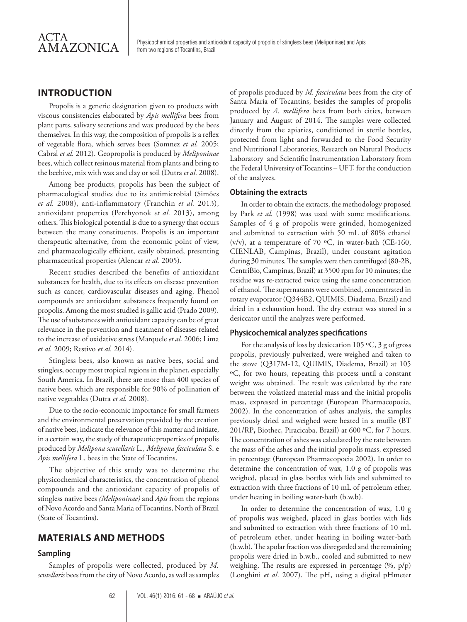Physicochemical properties and antioxidant capacity of propolis of stingless bees (Meliponinae) and Apis from two regions of Tocantins, Brazil

## **INTRODUCTION**

Propolis is a generic designation given to products with viscous consistencies elaborated by *Apis mellifera* bees from plant parts, salivary secretions and wax produced by the bees themselves. In this way, the composition of propolis is a reflex of vegetable flora, which serves bees (Somnez *et al.* 2005; Cabral *et al.* 2012). Geopropolis is produced by *Meliponinae*  bees, which collect resinous material from plants and bring to the beehive, mix with wax and clay or soil (Dutra *et al.* 2008).

Among bee products, propolis has been the subject of pharmacological studies due to its antimicrobial (Simões *et al.* 2008), anti-inflammatory (Franchin *et al.* 2013), antioxidant properties (Perchyonok *et al.* 2013), among others. This biological potential is due to a synergy that occurs between the many constituents. Propolis is an important therapeutic alternative, from the economic point of view, and pharmacologically efficient, easily obtained, presenting pharmaceutical properties (Alencar *et al.* 2005).

Recent studies described the benefits of antioxidant substances for health, due to its effects on disease prevention such as cancer, cardiovascular diseases and aging. Phenol compounds are antioxidant substances frequently found on propolis. Among the most studied is gallic acid (Prado 2009). The use of substances with antioxidant capacity can be of great relevance in the prevention and treatment of diseases related to the increase of oxidative stress (Marquele *et al.* 2006; Lima *et al.* 2009; Restivo *et al.* 2014).

Stingless bees, also known as native bees, social and stingless, occupy most tropical regions in the planet, especially South America. In Brazil, there are more than 400 species of native bees, which are responsible for 90% of pollination of native vegetables (Dutra *et al.* 2008).

Due to the socio-economic importance for small farmers and the environmental preservation provided by the creation of native bees, indicate the relevance of this matter and initiate, in a certain way, the study of therapeutic properties of propolis produced by *Melipona scutellaris* L.*, Melipona fasciculata* S. e *Apis mellifera* L. bees in the State of Tocantins.

The objective of this study was to determine the physicochemical characteristics, the concentration of phenol compounds and the antioxidant capacity of propolis of stingless native bees *(Meliponinae)* and *Apis* from the regions of Novo Acordo and Santa Maria of Tocantins, North of Brazil (State of Tocantins).

## **MATERIALS AND METHODS**

#### **Sampling**

Samples of propolis were collected, produced by *M. scutellaris* bees from the city of Novo Acordo, as well as samples

of propolis produced by *M. fasciculata* bees from the city of Santa Maria of Tocantins, besides the samples of propolis produced by *A. mellifera* bees from both cities, between January and August of 2014. The samples were collected directly from the apiaries, conditioned in sterile bottles, protected from light and forwarded to the Food Security and Nutritional Laboratories, Research on Natural Products Laboratory and Scientific Instrumentation Laboratory from the Federal University of Tocantins – UFT, for the conduction of the analyzes.

#### **Obtaining the extracts**

In order to obtain the extracts, the methodology proposed by Park *et al.* (1998) was used with some modifications. Samples of 4 g of propolis were grinded, homogenized and submitted to extraction with 50 mL of 80% ethanol (v/v), at a temperature of 70  $\,^{\circ}$ C, in water-bath (CE-160, CIENLAB, Campinas, Brazil), under constant agitation during 30 minutes. The samples were then centrifuged (80-2B, CentriBio, Campinas, Brazil) at 3500 rpm for 10 minutes; the residue was re-extracted twice using the same concentration of ethanol. The supernatants were combined, concentrated in rotary evaporator (Q344B2, QUIMIS, Diadema, Brazil) and dried in a exhaustion hood. The dry extract was stored in a desiccator until the analyzes were performed.

#### **Physicochemical analyzes specifications**

For the analysis of loss by desiccation 105  $\,^{\circ}$ C, 3 g of gross propolis, previously pulverized, were weighed and taken to the stove (Q317M-12, QUIMIS, Diadema, Brazil) at 105 ºC, for two hours, repeating this process until a constant weight was obtained. The result was calculated by the rate between the volatized material mass and the initial propolis mass, expressed in percentage (European Pharmacopoeia, 2002). In the concentration of ashes analysis, the samples previously dried and weighed were heated in a muffle (BT 201/RP**,** Biothec, Piracicaba, Brazil) at 600 ºC, for 7 hours. The concentration of ashes was calculated by the rate between the mass of the ashes and the initial propolis mass, expressed in percentage (European Pharmacopoeia 2002). In order to determine the concentration of wax, 1.0 g of propolis was weighed, placed in glass bottles with lids and submitted to extraction with three fractions of 10 mL of petroleum ether, under heating in boiling water-bath (b.w.b).

In order to determine the concentration of wax, 1.0 g of propolis was weighed, placed in glass bottles with lids and submitted to extraction with three fractions of 10 mL of petroleum ether, under heating in boiling water-bath (b.w.b). The apolar fraction was disregarded and the remaining propolis were dried in b.w.b., cooled and submitted to new weighing. The results are expressed in percentage  $(\%$ ,  $p/p)$ (Longhini *et al*. 2007). The pH, using a digital pHmeter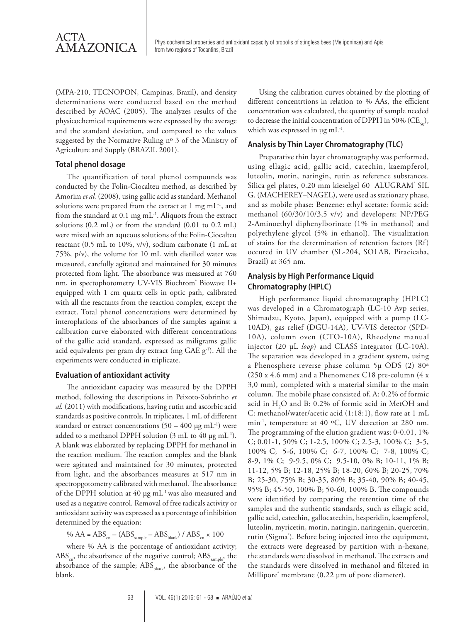(MPA-210, TECNOPON, Campinas, Brazil), and density determinations were conducted based on the method described by AOAC (2005). The analyzes results of the physicochemical requirements were expressed by the average and the standard deviation, and compared to the values suggested by the Normative Ruling nº 3 of the Ministry of Agriculture and Supply (BRAZIL 2001).

#### **Total phenol dosage**

The quantification of total phenol compounds was conducted by the Folin-Ciocalteu method, as described by Amorim *et al.* (2008), using gallic acid as standard. Methanol solutions were prepared from the extract at 1 mg  $mL^{-1}$ , and from the standard at  $0.1 \text{ mg} \text{ mL}^{-1}$ . Aliquots from the extract solutions (0.2 mL) or from the standard (0.01 to 0.2 mL) were mixed with an aqueous solutions of the Folin-Ciocalteu reactant (0.5 mL to 10%, v/v), sodium carbonate (1 mL at 75%, p/v), the volume for 10 mL with distilled water was measured, carefully agitated and maintained for 30 minutes protected from light. The absorbance was measured at 760 nm, in spectophotometry UV-VIS Biochrom<sup>®</sup> Biowave II+ equipped with 1 cm quartz cells in optic path, calibrated with all the reactants from the reaction complex, except the extract. Total phenol concentrations were determined by interoplations of the absorbances of the samples against a calibration curve elaborated with different concentrations of the gallic acid standard, expressed as miligrams gallic acid equivalents per gram dry extract (mg GAE g<sup>-1</sup>). All the experiments were conducted in triplicate.

#### **Evaluation of antioxidant activity**

The antioxidant capacity was measured by the DPPH method, following the descriptions in Peixoto-Sobrinho *et al.* (2011) with modifications, having rutin and ascorbic acid standards as positive controls. In triplicates, 1 mL of different standard or extract concentrations  $(50 - 400 \text{ µg mL}^{-1})$  were added to a methanol DPPH solution (3 mL to 40 µg mL<sup>-1</sup>). A blank was elaborated by replacing DPPH for methanol in the reaction medium. The reaction complex and the blank were agitated and maintained for 30 minutes, protected from light, and the absorbances measures at 517 nm in spectropgotometry calibrated with methanol. The absorbance of the DPPH solution at 40 µg mL-1 was also measured and used as a negative control. Removal of free radicals activity or antioxidant activity was expressed as a porcentage of inhibition determined by the equation:

%  $AA = ABS_{\text{cm}} - (ABS_{\text{sample}} - ABS_{\text{blank}})/ABS_{\text{cm}} \times 100$ 

where % AA is the porcentage of antioxidant activity;  $\text{ABS}_{\text{cm}}$ , the absorbance of the negative control;  $\text{ABS}_{\text{sample}}$ , the absorbance of the sample;  $\mathrm{ABS}_{\mathrm{blank}}$ , the absorbance of the blank.

Using the calibration curves obtained by the plotting of different concentrtions in relation to % AAs, the efficient concentration was calculated, the quantity of sample needed to decrease the initial concentration of DPPH in 50% ( $CE_{50}$ ), which was expressed in  $\mu$ g mL<sup>-1</sup>.

#### **Analysis by Thin Layer Chromatography (TLC)**

Preparative thin layer chromatography was performed, using ellagic acid, gallic acid, catechin, kaempferol, luteolin, morin, naringin, rutin as reference substances. Silica gel plates, 0.20 mm kieselgel 60 ALUGRAM<sup>®</sup> SIL G. (MACHEREY–NAGEL), were used as stationary phase, and as mobile phase: Benzene: ethyl acetate: formic acid: methanol (60/30/10/3,5 v/v) and developers: NP/PEG 2-Aminoethyl diphenylborinate (1% in methanol) and polyethylene glycol (5% in ethanol). The visualization of stains for the determination of retention factors (Rf) occured in UV chamber (SL-204, SOLAB, Piracicaba, Brazil) at 365 nm.

## **Analysis by High Performance Liquid Chromatography (HPLC)**

High performance liquid chromatography (HPLC) was developed in a Chromatograph (LC-10 Avp series, Shimadzu, Kyoto, Japan), equipped with a pump (LC-10AD), gas relief (DGU-14A), UV-VIS detector (SPD-10A), column oven (CTO-10A), Rheodyne manual injector (20 µL *loop*) and CLASS integrator (LC-10A). The separation was developed in a gradient system, using a Phenosphere reverse phase column 5µ ODS (2) 80ª (250 x 4.6 mm) and a Phenomenex C18 pre-column (4 x 3,0 mm), completed with a material similar to the main column. The mobile phase consisted of, A: 0.2% of formic acid in  $H_2O$  and B: 0.2% of formic acid in MetOH and C: methanol/water/acetic acid (1:18:1), flow rate at 1 mL min-1, temperature at 40 ºC, UV detection at 280 nm. The programming of the elution gradient was: 0-0.01, 1% C; 0.01-1, 50% C; 1-2.5, 100% C; 2.5-3, 100% C; 3-5, 100% C; 5-6, 100% C; 6-7, 100% C; 7-8, 100% C; 8-9, 1% C; 9-9.5, 0% C; 9.5-10, 0% B; 10-11, 1% B; 11-12, 5% B; 12-18, 25% B; 18-20, 60% B; 20-25, 70% B; 25-30, 75% B; 30-35, 80% B; 35-40, 90% B; 40-45, 95% B; 45-50, 100% B; 50-60, 100% B. The compounds were identified by comparing the retention time of the samples and the authentic standards, such as ellagic acid, gallic acid, catechin, gallocatechin, hesperidin, kaempferol, luteolin, myricetin, morin, naringin, naringenin, quercetin, rutin (Sigma<sup>®</sup>). Before being injected into the equipment, the extracts were degreased by partition with n-hexane, the standards were dissolved in methanol. The extracts and the standards were dissolved in methanol and filtered in Millipore' membrane (0.22 µm of pore diameter).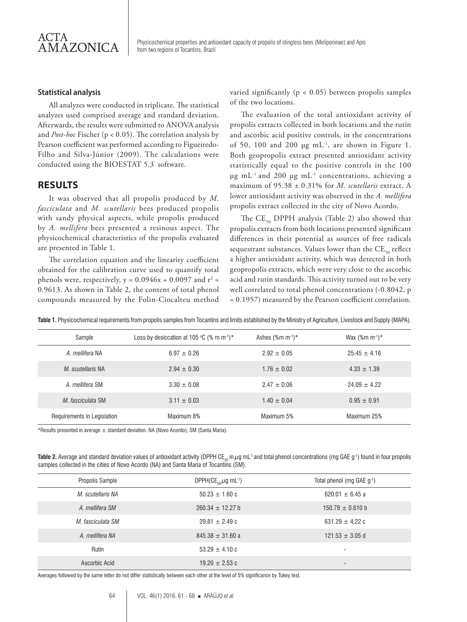

#### **Statistical analysis**

All analyzes were conducted in triplicate. The statistical analyzes used comprised average and standard deviation. Afterwards, the results were submitted to ANOVA analysis and *Post-hoc* Fischer (p < 0.05). The correlation analysis by Pearson coefficient was performed according to Figueiredo-Filho and Silva-Júnior (2009). The calculations were conducted using the BIOESTAT 5.3® software.

## **RESULTS**

It was observed that all propolis produced by *M. fasciculata* and *M. scutellaris* bees produced propolis with sandy physical aspects, while propolis produced by *A. mellifera* bees presented a resinous aspect. The physicochemical characteristics of the propolis evaluated are presented in Table 1.

The correlation equation and the linearity coefficient obtained for the calibration curve used to quantify total phenols were, respectively,  $y = 0.0946x + 0.0097$  and  $r^2 =$ 0.9613. As shown in Table 2, the content of total phenol compounds measured by the Folin-Ciocalteu method

varied significantly ( $p < 0.05$ ) between propolis samples of the two locations.

The evaluation of the total antioxidant activity of propolis extracts collected in both locations and the rutin and ascorbic acid positive controls, in the concentrations of 50, 100 and 200  $\mu$ g mL<sup>-1</sup>, are shown in Figure 1. Both geopropolis extract presented antioxidant activity statistically equal to the positive controls in the 100  $\mu$ g mL<sup>-1</sup> and 200  $\mu$ g mL<sup>-1</sup> concentrations, achieving a maximum of 95.38 ± 0.31% for *M. scutellaris* extract. A lower antioxidant activity was observed in the *A. mellifera*  propolis extract collected in the city of Novo Acordo.

The  $CE_{50}$  DPPH analysis (Table 2) also showed that propolis extracts from both locations presented significant differences in their potential as sources of free radicals sequestrant substances. Values lower than the  $CE_{50}$  reflect a higher antioxidant activity, which was detected in both geopropolis extracts, which were very close to the ascorbic acid and rutin standards. This activity turned out to be very well correlated to total phenol concentrations (-0.8042, p = 0.1957) measured by the Pearson coefficient correlation.

| Sample                      | Loss by desiccation at 105 °C (% m m <sup>-1</sup> ) <sup>*</sup> | Ashes $(\%$ m m <sup>-1</sup> )* | Wax $(\%m m^{1})*$ |
|-----------------------------|-------------------------------------------------------------------|----------------------------------|--------------------|
| A mellifera NA              | $6.97 + 0.26$                                                     | $2.92 + 0.05$                    | $25.45 + 4.16$     |
| M scutellaris NA            | $2.94 + 0.30$                                                     | $1.76 + 0.02$                    | $4.33 \pm 1.39$    |
| A. mellifera SM             | $3.30 + 0.08$                                                     | $2.47 + 0.06$                    | $24.09 + 4.22$     |
| M fasciculata SM            | $3.11 \pm 0.03$                                                   | $1.40 \pm 0.04$                  | $0.95 + 0.91$      |
| Requirements in Legislation | Maximum 8%                                                        | Maximum 5%                       | Maximum 25%        |

**Table 1.** Physicochemical requirements from propolis samples from Tocantins and limits established by the Ministry of Agriculture, Livestock and Supply (MAPA).

\*Results presented in average  $\pm$  standard deviation. NA (Novo Acordo); SM (Santa Maria).

Table 2. Average and standard deviation values of antioxidant activity (DPPH CE<sub>50</sub> in μg mL<sup>-1</sup> and total phenol concentrations (mg GAE g<sup>-1</sup>) found in four propolis samples collected in the cities of Novo Acordo (NA) and Santa Maria of Tocantins (SM).

| Propolis Sample   | DPPH(CE <sub>50</sub> $\mu$ g mL <sup>-1</sup> ) | Total phenol (mg GAE g-1) |
|-------------------|--------------------------------------------------|---------------------------|
| M. scutellaris NA | $50.23 \pm 1.60$ c                               | 620.01 $\pm$ 6.45 a       |
| A. mellifera SM   | $260.34 \pm 12.27$ b                             | $150.78 \pm 0.610$ b      |
| M. fasciculata SM | $29.81 \pm 2.49$ c                               | 631.29 $\pm$ 4.22 c       |
| A. mellifera NA   | $845.38 \pm 31.60 a$                             | $121.53 \pm 3.05$ d       |
| Rutin             | $53.29 \pm 4.10 \text{ c}$                       | ۰                         |
| Ascorbic Acid     | $19.20 \pm 2.53$ c                               | -                         |

Averages followed by the same letter do not differ statistically between each other at the level of 5% significance by Tukey test.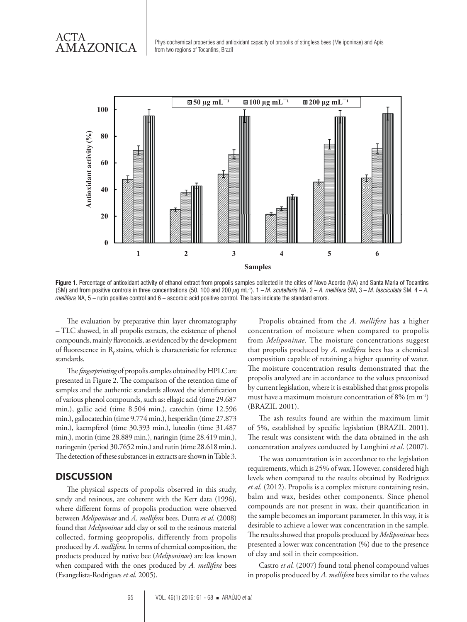ACTA<br>AMAZONICA



Figure 1. Percentage of antioxidant activity of ethanol extract from propolis samples collected in the cities of Novo Acordo (NA) and Santa Maria of Tocantins (SM) and from positive controls in three concentrations (50, 100 and 200 μg mL-1). 1 – *M. scutellaris* NA, 2 – *A. mellifera* SM, 3 – *M. fasciculata* SM, 4 – *A. mellifera* NA, 5 – rutin positive control and 6 – ascorbic acid positive control. The bars indicate the standard errors.

The evaluation by preparative thin layer chromatography – TLC showed, in all propolis extracts, the existence of phenol compounds, mainly flavonoids, as evidenced by the development of fluorescence in  $\mathrm R_{\mathrm f}$  stains, which is characteristic for reference standards.

The *fingerprinting* of propolis samples obtained by HPLC are presented in Figure 2. The comparison of the retention time of samples and the authentic standards allowed the identification of various phenol compounds, such as: ellagic acid (time 29.687 min.), gallic acid (time 8.504 min.), catechin (time 12.596 min.), gallocatechin (time 9.774 min.), hesperidin (time 27.873 min.), kaempferol (time 30.393 min.), luteolin (time 31.487 min.), morin (time 28.889 min.), naringin (time 28.419 min.), naringenin (period 30.7652 min.) and rutin (time 28.618 min.). The detection of these substances in extracts are shown in Table 3.

## **DISCUSSION**

The physical aspects of propolis observed in this study, sandy and resinous, are coherent with the Kerr data (1996), where different forms of propolis production were observed between *Meliponinae* and *A. mellifera* bees. Dutra *et al.* (2008) found that *Meliponinae* add clay or soil to the resinous material collected, forming geopropolis, differently from propolis produced by *A. mellifera.* In terms of chemical composition, the products produced by native bee (*Meliponinae*) are less known when compared with the ones produced by *A. mellifera* bees (Evangelista-Rodrigues *et al*. 2005).

Propolis obtained from the *A. mellifera* has a higher concentration of moisture when compared to propolis from *Meliponinae*. The moisture concentrations suggest that propolis produced by *A. mellifera* bees has a chemical composition capable of retaining a higher quantity of water. The moisture concentration results demonstrated that the propolis analyzed are in accordance to the values preconized by current legislation, where it is established that gross propolis must have a maximum moisture concentration of 8% (m m-1) (BRAZIL 2001).

The ash results found are within the maximum limit of 5%, established by specific legislation (BRAZIL 2001). The result was consistent with the data obtained in the ash concentration analyzes conducted by Longhini *et al*. (2007).

The wax concentration is in accordance to the legislation requirements, which is 25% of wax. However, considered high levels when compared to the results obtained by Rodríguez *et al.* (2012). Propolis is a complex mixture containing resin, balm and wax, besides other components. Since phenol compounds are not present in wax, their quantification in the sample becomes an important parameter. In this way, it is desirable to achieve a lower wax concentration in the sample. The results showed that propolis produced by *Meliponinae* bees presented a lower wax concentration (%) due to the presence of clay and soil in their composition.

Castro *et al.* (2007) found total phenol compound values in propolis produced by *A. mellifera* bees similar to the values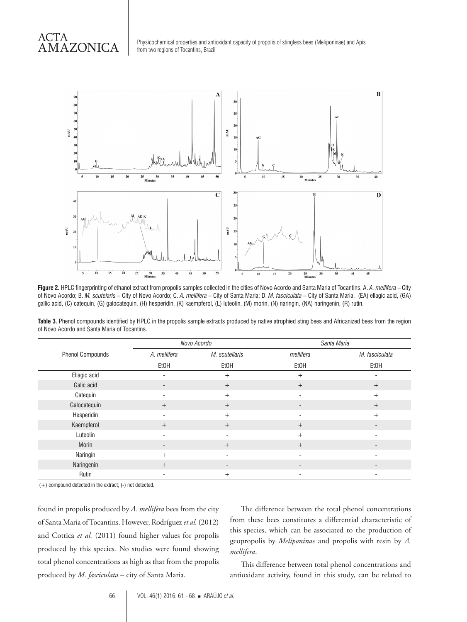## ACTA AMAZONICA

Physicochemical properties and antioxidant capacity of propolis of stingless bees (Meliponinae) and Apis from two regions of Tocantins, Brazil



**Figure 2.** HPLC fingerprinting of ethanol extract from propolis samples collected in the cities of Novo Acordo and Santa Maria of Tocantins. A. *A. mellifera* – City of Novo Acordo; B. *M. scutelaris* – City of Novo Acordo; C. *A. mellifera* – City of Santa Maria; D. *M. fasciculata* – City of Santa Maria. (EA) ellagic acid, (GA) gallic acid, (C) catequin, (G) galocatequin, (H) hesperidin, (K) kaempferol, (L) luteolin, (M) morin, (N) naringin, (NA) naringenin, (R) rutin.

Table 3. Phenol compounds identified by HPLC in the propolis sample extracts produced by native atrophied sting bees and Africanized bees from the region of Novo Acordo and Santa Maria of Tocantins.

|                         | Novo Acordo              |                          | Santa Maria              |                          |
|-------------------------|--------------------------|--------------------------|--------------------------|--------------------------|
| <b>Phenol Compounds</b> | A. mellifera             | M. scutellaris           | mellifera                | M. fasciculata           |
|                         | EtOH                     | EtOH                     | EtOH                     | EtOH                     |
| Ellagic acid            | $\overline{\phantom{a}}$ | $+$                      | $+$                      |                          |
| Galic acid              | $\overline{\phantom{a}}$ | $^{+}$                   | $+$                      | $^{+}$                   |
| Catequin                | $\overline{\phantom{a}}$ | $+$                      | ٠                        | $+$                      |
| Galocatequin            | $+$                      | $+$                      | $\overline{\phantom{0}}$ | $+$                      |
| Hesperidin              | $\blacksquare$           | $+$                      | ۰                        | $+$                      |
| Kaempferol              | $+$                      | $+$                      | $+$                      |                          |
| Luteolin                | $\overline{\phantom{a}}$ |                          | $+$                      |                          |
| <b>Morin</b>            | $\overline{\phantom{a}}$ | $+$                      | $+$                      | $\overline{\phantom{a}}$ |
| Naringin                | $^{+}$                   |                          |                          |                          |
| Naringenin              | $+$                      | $\overline{\phantom{a}}$ | $\overline{\phantom{a}}$ |                          |
| Rutin                   | $\overline{\phantom{a}}$ | $+$                      | ٠                        |                          |

(+) compound detected in the extract; (-) not detected.

found in propolis produced by *A. mellifera* bees from the city of Santa Maria of Tocantins. However, Rodríguez *et al.* (2012) and Cottica *et al.* (2011) found higher values for propolis produced by this species. No studies were found showing total phenol concentrations as high as that from the propolis produced by *M. fasciculata* – city of Santa Maria.

The difference between the total phenol concentrations from these bees constitutes a differential characteristic of this species, which can be associated to the production of geopropolis by *Meliponinae* and propolis with resin by *A. mellifera*.

This difference between total phenol concentrations and antioxidant activity, found in this study, can be related to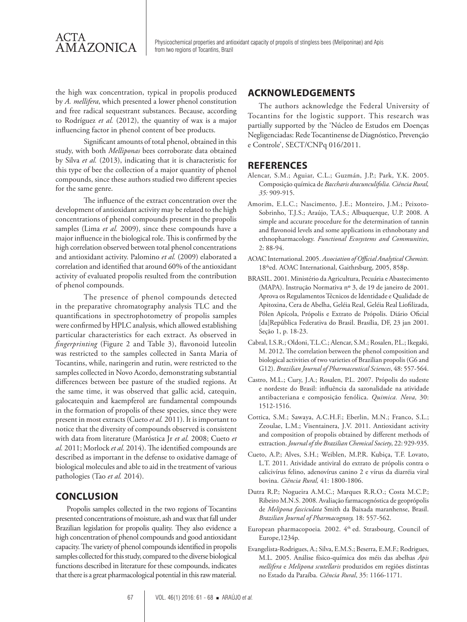

the high wax concentration, typical in propolis produced by *A. mellifera*, which presented a lower phenol constitution and free radical sequestrant substances. Because, according to Rodríguez *et al.* (2012), the quantity of wax is a major influencing factor in phenol content of bee products.

Significant amounts of total phenol, obtained in this study, with both *Melliponas* bees corroborate data obtained by Silva *et al.* (2013), indicating that it is characteristic for this type of bee the collection of a major quantity of phenol compounds, since these authors studied two different species for the same genre.

The influence of the extract concentration over the development of antioxidant activity may be related to the high concentrations of phenol compounds present in the propolis samples (Lima *et al.* 2009), since these compounds have a major influence in the biological role. This is confirmed by the high correlation observed between total phenol concentrations and antioxidant activity. Palomino *et al.* (2009) elaborated a correlation and identified that around 60% of the antioxidant activity of evaluated propolis resulted from the contribution of phenol compounds.

The presence of phenol compounds detected in the preparative chromatography analysis TLC and the quantifications in spectrophotometry of propolis samples were confirmed by HPLC analysis, which allowed establishing particular characteristics for each extract. As observed in *fingerprinting* (Figure 2 and Table 3), flavonoid luteolin was restricted to the samples collected in Santa Maria of Tocantins, while, naringerin and rutin, were restricted to the samples collected in Novo Acordo, demonstrating substantial differences between bee pasture of the studied regions. At the same time, it was observed that gallic acid, catequin, galocatequin and kaempferol are fundamental compounds in the formation of propolis of these species, since they were present in most extracts (Cueto *et al.* 2011). It is important to notice that the diversity of compounds observed is consistent with data from literature (Maróstica Jr *et al.* 2008; Cueto *et al.* 2011; Morlock *et al.* 2014). The identified compounds are described as important in the defense to oxidative damage of biological molecules and able to aid in the treatment of various pathologies (Tao *et al.* 2014).

## **CONCLUSION**

Propolis samples collected in the two regions of Tocantins presented concentrations of moisture, ash and wax that fall under Brazilian legislation for propolis quality. They also evidence a high concentration of phenol compounds and good antioxidant capacity. The variety of phenol compounds identified in propolis samples collected for this study, compared to the diverse biological functions described in literature for these compounds, indicates that there is a great pharmacological potential in this raw material.

## **ACKNOWLEDGEMENTS**

The authors acknowledge the Federal University of Tocantins for the logistic support. This research was partially supported by the 'Núcleo de Estudos em Doenças Negligenciadas: Rede Tocantinense de Diagnóstico, Prevenção e Controle', SECT/CNPq 016/2011.

## **REFERENCES**

- Alencar, S.M.; Aguiar, C.L.; Guzmán, J.P.; Park, Y.K. 2005. Composição química de *Baccharis dracunculifolia. Ciência Rural, 35:* 909-915.
- Amorim, E.L.C.; Nascimento, J.E.; Monteiro, J.M.; Peixoto-Sobrinho, T.J.S.; Araújo, T.A.S.; Albuquerque, U.P. 2008. A simple and accurate procedure for the determination of tannin and flavonoid levels and some applications in ethnobotany and ethnopharmacology. *Functional Ecosystems and Communities*, 2: 88-94.
- AOAC International. 2005. *Association of Official Analytical Chemists.*  18thed. AOAC International, Gaithrsburg, 2005, 858p.
- BRASIL. 2001. Ministério da Agricultura, Pecuária e Abastecimento (MAPA). Instrução Normativa nº 3, de 19 de janeiro de 2001. Aprova os Regulamentos Técnicos de Identidade e Qualidade de Apitoxina, Cera de Abelha, Geléia Real, Geléia Real Liofilizada, Pólen Apícola, Própolis e Extrato de Própolis. Diário Oficial [da]República Federativa do Brasil. Brasília, DF, 23 jan 2001. Seção 1, p. 18-23.
- Cabral, I.S.R.; Oldoni, T.L.C.; Alencar, S.M.; Rosalen, P.L.; Ikegaki, M. 2012. The correlation between the phenol composition and biological activities of two varieties of Brazilian propolis (G6 and G12). *Brazilian Journal of Pharmaceutical Sciences*, 48: 557-564.
- Castro, M.L.; Cury, J.A.; Rosalen, P.L. 2007. Própolis do sudeste e nordeste do Brasil: influência da sazonalidade na atividade antibacteriana e composição fenólica. *Quimica. Nova,* 30: 1512-1516.
- Cottica, S.M.; Sawaya, A.C.H.F.; Eberlin, M.N.; Franco, S.L.; Zeoulae, L.M.; Visentainera, J.V. 2011. Antioxidant activity and composition of propolis obtained by different methods of extraction. *Journal of the Brazilian Chemical Society*, 22: 929-935.
- Cueto, A.P.; Alves, S.H.; Weiblen, M.P.R. Kubiça, T.F. Lovato, L.T. 2011. Atividade antiviral do extrato de própolis contra o calicivírus felino, adenovírus canino 2 e vírus da diarréia viral bovina. *Ciência Rural,* 41: 1800-1806.
- Dutra R.P.; Nogueira A.M.C.; Marques R.R.O.; Costa M.C.P.; Ribeiro M.N.S. 2008. Avaliação farmacognóstica de geoprópolis de *Melipona fasciculata* Smith da Baixada maranhense, Brasil. *Brazilian Journal of Pharmacognosy,* 18: 557-562.
- European pharmacopoeia. 2002. 4<sup>th</sup> ed. Strasbourg, Council of Europe,1234p.
- Evangelista-Rodrigues, A.; Silva, E.M.S.; Beserra, E.M.F.; Rodrigues, M.L. 2005. Análise físico-química dos méis das abelhas *Apis mellifera* e *Melipona scutellaris* produzidos em regiões distintas no Estado da Paraíba. *Ciência Rural*, 35: 1166-1171.